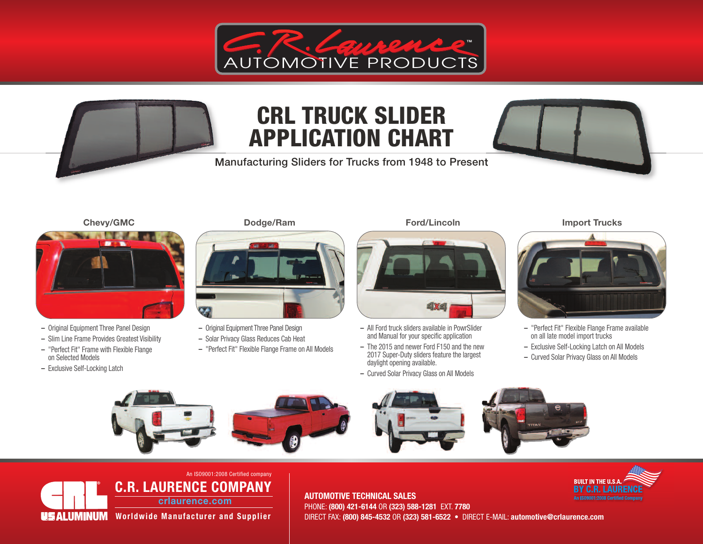



Manufacturing Sliders for Trucks from 1948 to Present





- **–** Original Equipment Three Panel Design
- **–** Slim Line Frame Provides Greatest Visibility **–** "Perfect Fit" Frame with Flexible Flange
- on Selected Models
- **–** Exclusive Self-Locking Latch



- **–** Original Equipment Three Panel Design
- **–** Solar Privacy Glass Reduces Cab Heat
- **–** "Perfect Fit" Flexible Flange Frame on All Models



- **–** All Ford truck sliders available in PowrSlider and Manual for your specific application
- **–** The 2015 and newer Ford F150 and the new 2017 Super-Duty sliders feature the largest daylight opening available.
- **–** Curved Solar Privacy Glass on All Models

#### **Chevy/GMC Dodge/Ram Ford/Lincoln Import Trucks**



- **–** "Perfect Fit" Flexible Flange Frame available on all late model import trucks
- **–** Exclusive Self-Locking Latch on All Models
- **–** Curved Solar Privacy Glass on All Models









#### **C.R. LAURENCE COMPANY crlaurence.com** An ISO9001:2008 Certified company

US ALUMINUM **Worldwide Manufacturer and Supplier** 

**2** DIRECT FAX: **(800) 845-4532** OR **(323) 581-6522** • DIRECT E-MAIL: **automotive@crlaurence.com AUTOMOTIVE TECHNICAL SALES** PHONE: **(800) 421-6144** OR **(323) 588-1281** EXT. **7780**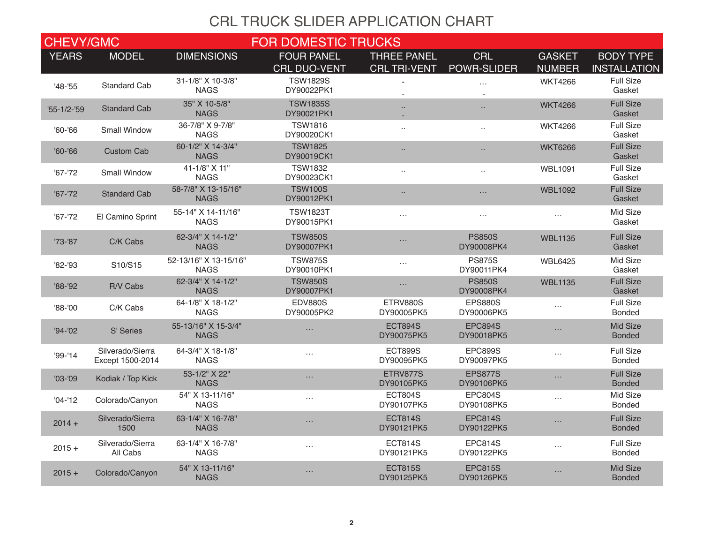| <b>CHEVY/GMC</b>  |                                      |                                      | <b>FOR DOMESTIC TRUCKS</b>               |                                           |                              |                                |                                         |
|-------------------|--------------------------------------|--------------------------------------|------------------------------------------|-------------------------------------------|------------------------------|--------------------------------|-----------------------------------------|
| <b>YEARS</b>      | <b>MODEL</b>                         | <b>DIMENSIONS</b>                    | <b>FOUR PANEL</b><br><b>CRL DUO-VENT</b> | <b>THREE PANEL</b><br><b>CRL TRI-VENT</b> | <b>CRL</b><br>POWR-SLIDER    | <b>GASKET</b><br><b>NUMBER</b> | <b>BODY TYPE</b><br><b>INSTALLATION</b> |
| $'48 - '55$       | <b>Standard Cab</b>                  | 31-1/8" X 10-3/8"<br><b>NAGS</b>     | <b>TSW1829S</b><br>DY90022PK1            |                                           | .                            | <b>WKT4266</b>                 | <b>Full Size</b><br>Gasket              |
| $'55 - 1/2 - '59$ | <b>Standard Cab</b>                  | 35" X 10-5/8"<br><b>NAGS</b>         | <b>TSW1835S</b><br>DY90021PK1            | $\ddotsc$                                 | $\ddotsc$                    | <b>WKT4266</b>                 | <b>Full Size</b><br>Gasket              |
| $'60 - '66$       | <b>Small Window</b>                  | 36-7/8" X 9-7/8"<br><b>NAGS</b>      | <b>TSW1816</b><br>DY90020CK1             | $\ddotsc$                                 | $\ddotsc$                    | <b>WKT4266</b>                 | <b>Full Size</b><br>Gasket              |
| $'60 - '66$       | <b>Custom Cab</b>                    | 60-1/2" X 14-3/4"<br><b>NAGS</b>     | <b>TSW1825</b><br>DY90019CK1             | $\ddotsc$                                 | $\ldots$                     | <b>WKT6266</b>                 | <b>Full Size</b><br>Gasket              |
| $'67 - '72$       | Small Window                         | 41-1/8" X 11"<br><b>NAGS</b>         | <b>TSW1832</b><br>DY90023CK1             | $\ddotsc$                                 | $\ddotsc$                    | <b>WBL1091</b>                 | <b>Full Size</b><br>Gasket              |
| $'67 - '72$       | <b>Standard Cab</b>                  | 58-7/8" X 13-15/16"<br><b>NAGS</b>   | <b>TSW100S</b><br>DY90012PK1             | $\ddotsc$                                 | $\cdots$                     | <b>WBL1092</b>                 | <b>Full Size</b><br>Gasket              |
| $'67 - '72$       | El Camino Sprint                     | 55-14" X 14-11/16"<br><b>NAGS</b>    | <b>TSW1823T</b><br>DY90015PK1            | $\ldots$                                  | $\ldots$                     | $\ldots$                       | Mid Size<br>Gasket                      |
| '73-'87           | C/K Cabs                             | 62-3/4" X 14-1/2"<br><b>NAGS</b>     | <b>TSW850S</b><br>DY90007PK1             | $\cdots$                                  | <b>PS850S</b><br>DY90008PK4  | <b>WBL1135</b>                 | <b>Full Size</b><br>Gasket              |
| '82-'93           | S10/S15                              | 52-13/16" X 13-15/16"<br><b>NAGS</b> | <b>TSW875S</b><br>DY90010PK1             | $\ldots$                                  | <b>PS875S</b><br>DY90011PK4  | <b>WBL6425</b>                 | Mid Size<br>Gasket                      |
| $'88 - '92$       | R/V Cabs                             | 62-3/4" X 14-1/2"<br><b>NAGS</b>     | <b>TSW850S</b><br>DY90007PK1             | $\ldots$                                  | <b>PS850S</b><br>DY90008PK4  | <b>WBL1135</b>                 | <b>Full Size</b><br>Gasket              |
| $'88 - '00$       | C/K Cabs                             | 64-1/8" X 18-1/2"<br><b>NAGS</b>     | <b>EDV880S</b><br>DY90005PK2             | ETRV880S<br>DY90005PK5                    | <b>EPS880S</b><br>DY90006PK5 | $\ldots$                       | <b>Full Size</b><br><b>Bonded</b>       |
| $'94 - '02$       | S' Series                            | 55-13/16" X 15-3/4"<br><b>NAGS</b>   | $\cdots$                                 | <b>ECT894S</b><br>DY90075PK5              | <b>EPC894S</b><br>DY90018PK5 | $\cdots$                       | Mid Size<br><b>Bonded</b>               |
| $'99 - '14$       | Silverado/Sierra<br>Except 1500-2014 | 64-3/4" X 18-1/8"<br><b>NAGS</b>     | $\cdots$                                 | <b>ECT899S</b><br>DY90095PK5              | <b>EPC899S</b><br>DY90097PK5 | $\ldots$                       | <b>Full Size</b><br><b>Bonded</b>       |
| $'03 - '09$       | Kodiak / Top Kick                    | 53-1/2" X 22"<br><b>NAGS</b>         | $\cdots$                                 | ETRV877S<br>DY90105PK5                    | <b>EPS877S</b><br>DY90106PK5 | $\ldots$                       | <b>Full Size</b><br><b>Bonded</b>       |
| $'04-'12$         | Colorado/Canyon                      | 54" X 13-11/16"<br><b>NAGS</b>       | $\cdots$                                 | <b>ECT804S</b><br>DY90107PK5              | <b>EPC804S</b><br>DY90108PK5 | $\cdots$                       | Mid Size<br><b>Bonded</b>               |
| $2014 +$          | Silverado/Sierra<br>1500             | 63-1/4" X 16-7/8"<br><b>NAGS</b>     | .                                        | <b>ECT814S</b><br>DY90121PK5              | <b>EPC814S</b><br>DY90122PK5 | $\cdots$                       | <b>Full Size</b><br><b>Bonded</b>       |
| $2015 +$          | Silverado/Sierra<br>All Cabs         | 63-1/4" X 16-7/8"<br><b>NAGS</b>     | $\cdots$                                 | <b>ECT814S</b><br>DY90121PK5              | <b>EPC814S</b><br>DY90122PK5 | $\cdots$                       | <b>Full Size</b><br><b>Bonded</b>       |
| $2015 +$          | Colorado/Canyon                      | 54" X 13-11/16"<br><b>NAGS</b>       | .                                        | <b>ECT815S</b><br>DY90125PK5              | <b>EPC815S</b><br>DY90126PK5 | $\cdots$                       | Mid Size<br><b>Bonded</b>               |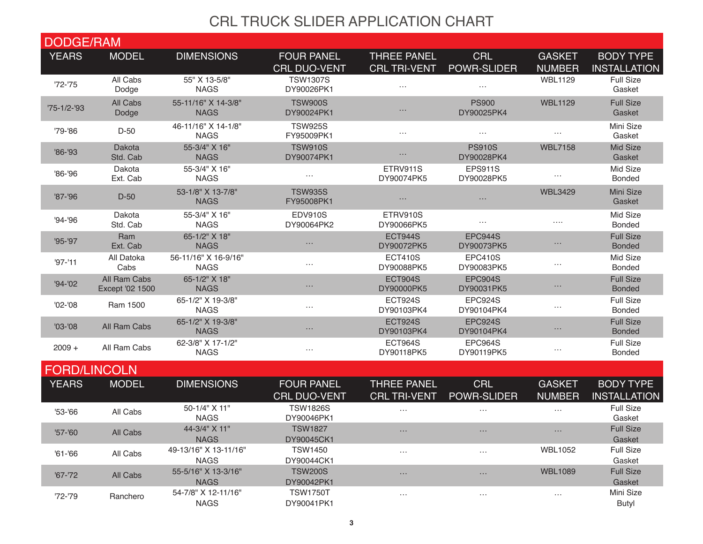| <b>DODGE/RAM</b>    |                                 |                                      |                                          |                                           |                                  |                                |                                         |
|---------------------|---------------------------------|--------------------------------------|------------------------------------------|-------------------------------------------|----------------------------------|--------------------------------|-----------------------------------------|
| <b>YEARS</b>        | <b>MODEL</b>                    | <b>DIMENSIONS</b>                    | <b>FOUR PANEL</b><br><b>CRL DUO-VENT</b> | <b>THREE PANEL</b><br><b>CRL TRI-VENT</b> | <b>CRL</b><br><b>POWR-SLIDER</b> | <b>GASKET</b><br><b>NUMBER</b> | <b>BODY TYPE</b><br><b>INSTALLATION</b> |
| $'72 - '75$         | All Cabs<br>Dodge               | 55" X 13-5/8"<br><b>NAGS</b>         | <b>TSW1307S</b><br>DY90026PK1            | $\ldots$                                  | $\cdots$                         | <b>WBL1129</b>                 | <b>Full Size</b><br>Gasket              |
| $75 - 1/2 - 93$     | All Cabs<br>Dodge               | 55-11/16" X 14-3/8"<br><b>NAGS</b>   | <b>TSW900S</b><br>DY90024PK1             | $\cdots$                                  | <b>PS900</b><br>DY90025PK4       | <b>WBL1129</b>                 | <b>Full Size</b><br>Gasket              |
| '79-'86             | $D-50$                          | 46-11/16" X 14-1/8"<br><b>NAGS</b>   | <b>TSW925S</b><br>FY95009PK1             | $\cdots$                                  | $\cdots$                         | $\cdots$                       | Mini Size<br>Gasket                     |
| '86-'93             | Dakota<br>Std. Cab              | 55-3/4" X 16"<br><b>NAGS</b>         | <b>TSW910S</b><br>DY90074PK1             | $\cdots$                                  | <b>PS910S</b><br>DY90028PK4      | <b>WBL7158</b>                 | Mid Size<br>Gasket                      |
| $'86 - '96$         | Dakota<br>Ext. Cab              | 55-3/4" X 16"<br><b>NAGS</b>         | $\ldots$                                 | ETRV911S<br>DY90074PK5                    | <b>EPS911S</b><br>DY90028PK5     | $\cdots$                       | Mid Size<br><b>Bonded</b>               |
| $'87 - '96$         | $D-50$                          | 53-1/8" X 13-7/8"<br><b>NAGS</b>     | <b>TSW935S</b><br>FY95008PK1             | $\cdots$                                  | $\cdots$                         | <b>WBL3429</b>                 | Mini Size<br>Gasket                     |
| '94-'96             | Dakota<br>Std. Cab              | 55-3/4" X 16"<br><b>NAGS</b>         | <b>EDV910S</b><br>DY90064PK2             | ETRV910S<br>DY90066PK5                    | $\cdots$                         | $\cdots$                       | Mid Size<br><b>Bonded</b>               |
| $'95 - '97$         | Ram<br>Ext. Cab                 | 65-1/2" X 18"<br><b>NAGS</b>         | $\cdots$                                 | <b>ECT944S</b><br>DY90072PK5              | EPC944S<br>DY90073PK5            | $\cdots$                       | <b>Full Size</b><br><b>Bonded</b>       |
| $'97 - '11$         | All Datoka<br>Cabs              | 56-11/16" X 16-9/16"<br><b>NAGS</b>  | $\cdots$                                 | <b>ECT410S</b><br>DY90088PK5              | <b>EPC410S</b><br>DY90083PK5     | $\cdots$                       | Mid Size<br><b>Bonded</b>               |
| $'94 - '02$         | All Ram Cabs<br>Except '02 1500 | 65-1/2" X 18"<br><b>NAGS</b>         | $\cdots$                                 | <b>ECT904S</b><br>DY90000PK5              | <b>EPC904S</b><br>DY90031PK5     | $\cdots$                       | <b>Full Size</b><br><b>Bonded</b>       |
| $'02 - '08$         | Ram 1500                        | 65-1/2" X 19-3/8"<br><b>NAGS</b>     | $\cdots$                                 | <b>ECT924S</b><br>DY90103PK4              | EPC924S<br>DY90104PK4            | $\cdots$                       | <b>Full Size</b><br><b>Bonded</b>       |
| $'03 - '08$         | All Ram Cabs                    | 65-1/2" X 19-3/8"<br><b>NAGS</b>     | $\cdots$                                 | <b>ECT924S</b><br>DY90103PK4              | EPC924S<br>DY90104PK4            | $\cdots$                       | <b>Full Size</b><br><b>Bonded</b>       |
| $2009 +$            | All Ram Cabs                    | 62-3/8" X 17-1/2"<br><b>NAGS</b>     | $\cdots$                                 | <b>ECT964S</b><br>DY90118PK5              | EPC964S<br>DY90119PK5            | $\cdots$                       | <b>Full Size</b><br>Bonded              |
| <b>FORD/LINCOLN</b> |                                 |                                      |                                          |                                           |                                  |                                |                                         |
| <b>YEARS</b>        | <b>MODEL</b>                    | <b>DIMENSIONS</b>                    | <b>FOUR PANEL</b><br><b>CRL DUO-VENT</b> | <b>THREE PANEL</b><br><b>CRL TRI-VENT</b> | <b>CRL</b><br><b>POWR-SLIDER</b> | <b>GASKET</b><br><b>NUMBER</b> | <b>BODY TYPE</b><br><b>INSTALLATION</b> |
| $'53 - '66$         | All Cabs                        | 50-1/4" X 11"<br><b>NAGS</b>         | <b>TSW1826S</b><br>DY90046PK1            | $\cdots$                                  |                                  | $\cdots$                       | <b>Full Size</b><br>Gasket              |
| '57-'60             | All Cabs                        | 44-3/4" X 11"<br><b>NAGS</b>         | <b>TSW1827</b><br>DY90045CK1             | $\cdots$                                  | $\cdots$                         | $\cdots$                       | <b>Full Size</b><br>Gasket              |
| $'61 - '66$         | All Cabs                        | 49-13/16" X 13-11/16"<br><b>NAGS</b> | <b>TSW1450</b><br>DY90044CK1             | $\cdots$                                  | $\cdots$                         | <b>WBL1052</b>                 | <b>Full Size</b><br>Gasket              |
| $'67 - 72$          | All Cabs                        | 55-5/16" X 13-3/16"<br><b>NAGS</b>   | <b>TSW200S</b><br>DY90042PK1             | $\cdots$                                  | $\cdots$                         | <b>WBL1089</b>                 | <b>Full Size</b><br>Gasket              |
| '72-'79             | Ranchero                        | 54-7/8" X 12-11/16"<br><b>NAGS</b>   | <b>TSW1750T</b><br>DY90041PK1            | $\cdots$                                  | $\cdots$                         | $\cdots$                       | Mini Size<br><b>Butyl</b>               |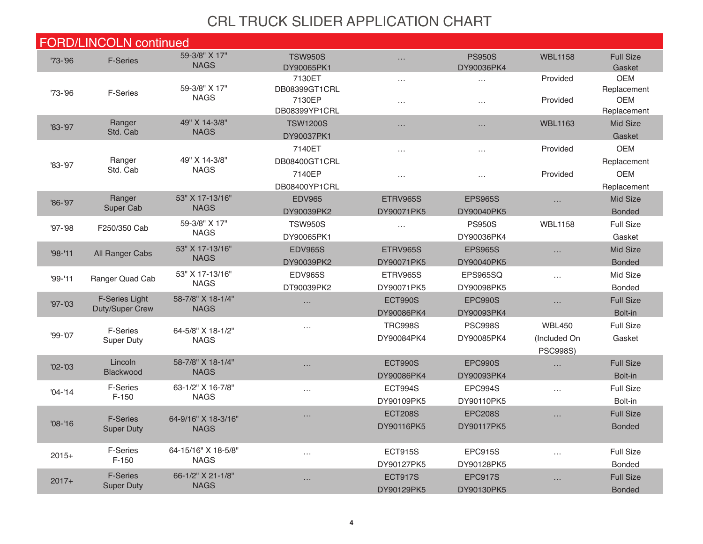|             | <b>FORD/LINCOLN continued</b>                   |                                    |                                          |                       |                             |                 |                                          |
|-------------|-------------------------------------------------|------------------------------------|------------------------------------------|-----------------------|-----------------------------|-----------------|------------------------------------------|
| '73-'96     | <b>F-Series</b>                                 | 59-3/8" X 17"<br><b>NAGS</b>       | <b>TSW950S</b><br>DY90065PK1             | $\ldots$              | <b>PS950S</b><br>DY90036PK4 | <b>WBL1158</b>  | <b>Full Size</b><br>Gasket               |
|             |                                                 |                                    | 7130ET                                   | $\ldots$              | .                           | Provided        | <b>OEM</b>                               |
| $73 - 96$   | <b>F-Series</b>                                 | 59-3/8" X 17"<br><b>NAGS</b>       | DB08399GT1CRL<br>7130EP<br>DB08399YP1CRL | $\cdot$ $\cdot$       | $\cdots$                    | Provided        | Replacement<br><b>OEM</b><br>Replacement |
| '83-'97     | Ranger                                          | 49" X 14-3/8"                      | <b>TSW1200S</b>                          | $\ldots$              | $\ldots$                    | <b>WBL1163</b>  | Mid Size                                 |
|             | Std. Cab                                        | <b>NAGS</b>                        | DY90037PK1                               |                       |                             |                 | Gasket                                   |
|             |                                                 |                                    | 7140ET                                   | $\cdots$              | $\ldots$                    | Provided        | <b>OEM</b>                               |
| '83-'97     | Ranger                                          | 49" X 14-3/8"                      | DB08400GT1CRL                            |                       |                             |                 | Replacement                              |
|             | Std. Cab                                        | <b>NAGS</b>                        | 7140EP                                   | $\cdots$              | .                           | Provided        | <b>OEM</b>                               |
|             |                                                 |                                    | DB08400YP1CRL                            |                       |                             |                 | Replacement                              |
| $'86 - '97$ | Ranger                                          | 53" X 17-13/16"                    | <b>EDV965</b>                            | <b>ETRV965S</b>       | <b>EPS965S</b>              | $\ldots$        | Mid Size                                 |
|             | Super Cab                                       | <b>NAGS</b>                        | DY90039PK2                               | DY90071PK5            | DY90040PK5                  |                 | <b>Bonded</b>                            |
| $97 - 98$   | F250/350 Cab                                    | 59-3/8" X 17"<br><b>NAGS</b>       | <b>TSW950S</b>                           | $\ldots$              | <b>PS950S</b>               | <b>WBL1158</b>  | <b>Full Size</b>                         |
|             |                                                 |                                    | DY90065PK1                               |                       | DY90036PK4                  |                 | Gasket                                   |
| $'98 - '11$ | All Ranger Cabs                                 | 53" X 17-13/16"<br><b>NAGS</b>     | <b>EDV965S</b>                           | ETRV965S              | <b>EPS965S</b>              | $\ldots$        | Mid Size                                 |
|             |                                                 |                                    | DY90039PK2                               | DY90071PK5            | DY90040PK5                  |                 | <b>Bonded</b>                            |
| $'99 - '11$ | Ranger Quad Cab                                 | 53" X 17-13/16"<br><b>NAGS</b>     | <b>EDV965S</b>                           | ETRV965S              | EPS965SQ                    | $\ldots$        | Mid Size                                 |
|             |                                                 |                                    | DT90039PK2                               | DY90071PK5            | DY90098PK5                  |                 | <b>Bonded</b>                            |
| $'97 - '03$ | <b>F-Series Light</b><br><b>Duty/Super Crew</b> | 58-7/8" X 18-1/4"<br><b>NAGS</b>   | $\cdots$                                 | <b>ECT990S</b>        | <b>EPC990S</b>              | $\ldots$        | <b>Full Size</b>                         |
|             |                                                 |                                    |                                          | DY90086PK4            | DY90093PK4                  |                 | Bolt-in                                  |
| $99 - 07$   | <b>F-Series</b>                                 | 64-5/8" X 18-1/2"                  | $\cdots$                                 | <b>TRC998S</b>        | <b>PSC998S</b>              | <b>WBL450</b>   | <b>Full Size</b>                         |
|             | <b>Super Duty</b>                               | <b>NAGS</b>                        |                                          | DY90084PK4            | DY90085PK4                  | (Included On    | Gasket                                   |
|             | Lincoln                                         | 58-7/8" X 18-1/4"                  |                                          |                       | EPC990S                     | <b>PSC998S)</b> | <b>Full Size</b>                         |
| $'02 - '03$ | Blackwood                                       | <b>NAGS</b>                        | $\cdots$                                 | ECT990S<br>DY90086PK4 | DY90093PK4                  | $\ldots$        | Bolt-in                                  |
|             | <b>F-Series</b>                                 | 63-1/2" X 16-7/8"                  |                                          | ECT994S               | EPC994S                     |                 | <b>Full Size</b>                         |
| $'04 - 14$  | $F-150$                                         | <b>NAGS</b>                        | $\cdots$                                 | DY90109PK5            | DY90110PK5                  | $\cdots$        | Bolt-in                                  |
|             |                                                 |                                    |                                          | <b>ECT208S</b>        | <b>EPC208S</b>              | $\ldots$        | <b>Full Size</b>                         |
| $'08 - '16$ | <b>F-Series</b>                                 | 64-9/16" X 18-3/16"<br><b>NAGS</b> |                                          | DY90116PK5            | DY90117PK5                  |                 | <b>Bonded</b>                            |
|             | <b>Super Duty</b>                               |                                    |                                          |                       |                             |                 |                                          |
| $2015+$     | <b>F-Series</b>                                 | 64-15/16" X 18-5/8"<br><b>NAGS</b> | .                                        | <b>ECT915S</b>        | <b>EPC915S</b>              | $\cdots$        | <b>Full Size</b>                         |
|             | $F-150$                                         |                                    |                                          | DY90127PK5            | DY90128PK5                  |                 | <b>Bonded</b>                            |
|             | <b>F-Series</b>                                 | 66-1/2" X 21-1/8"                  | $\cdots$                                 | <b>ECT917S</b>        | EPC917S                     | $\ldots$        | <b>Full Size</b>                         |
| $2017+$     | <b>Super Duty</b>                               | <b>NAGS</b>                        |                                          | DY90129PK5            | DY90130PK5                  |                 | <b>Bonded</b>                            |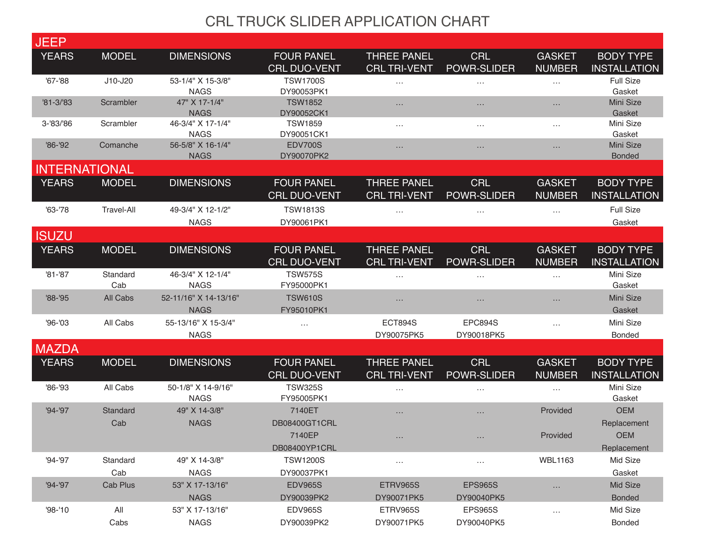| <b>JEEP</b>          |                   |                                      |                                          |                                           |                              |                                |                                         |
|----------------------|-------------------|--------------------------------------|------------------------------------------|-------------------------------------------|------------------------------|--------------------------------|-----------------------------------------|
| <b>YEARS</b>         | <b>MODEL</b>      | <b>DIMENSIONS</b>                    | <b>FOUR PANEL</b>                        | <b>THREE PANEL</b>                        | <b>CRL</b>                   | <b>GASKET</b>                  | <b>BODY TYPE</b>                        |
|                      |                   |                                      | <b>CRL DUO-VENT</b>                      | <b>CRL TRI-VENT</b>                       | <b>POWR-SLIDER</b>           | <b>NUMBER</b>                  | <b>INSTALLATION</b>                     |
| $'67 - '88$          | J10-J20           | 53-1/4" X 15-3/8"<br><b>NAGS</b>     | <b>TSW1700S</b><br>DY90053PK1            | $\dots$                                   | $\cdots$                     | $\cdots$                       | <b>Full Size</b><br>Gasket              |
| $'81 - 3/83$         | Scrambler         | 47" X 17-1/4"<br><b>NAGS</b>         | <b>TSW1852</b><br>DY90052CK1             | $\dots$                                   | $\cdots$                     | $\cdots$                       | Mini Size<br>Gasket                     |
| 3-'83/'86            | Scrambler         | 46-3/4" X 17-1/4"<br><b>NAGS</b>     | <b>TSW1859</b><br>DY90051CK1             | $\ldots$                                  | $\cdots$                     | $\cdots$                       | Mini Size<br>Gasket                     |
| $'86 - '92$          | Comanche          | 56-5/8" X 16-1/4"<br><b>NAGS</b>     | <b>EDV700S</b><br>DY90070PK2             | $\dots$                                   | $\cdots$                     | $\cdots$                       | Mini Size<br><b>Bonded</b>              |
| <b>INTERNATIONAL</b> |                   |                                      |                                          |                                           |                              |                                |                                         |
| <b>YEARS</b>         | <b>MODEL</b>      | <b>DIMENSIONS</b>                    | <b>FOUR PANEL</b><br><b>CRL DUO-VENT</b> | <b>THREE PANEL</b><br><b>CRL TRI-VENT</b> | <b>CRL</b><br>POWR-SLIDER    | <b>GASKET</b><br><b>NUMBER</b> | <b>BODY TYPE</b><br><b>INSTALLATION</b> |
| $'63 - '78$          | <b>Travel-All</b> | 49-3/4" X 12-1/2"<br><b>NAGS</b>     | <b>TSW1813S</b><br>DY90061PK1            | $\cdots$                                  | $\cdots$                     | $\ddots$                       | <b>Full Size</b><br>Gasket              |
| <b>ISUZU</b>         |                   |                                      |                                          |                                           |                              |                                |                                         |
| <b>YEARS</b>         | <b>MODEL</b>      | <b>DIMENSIONS</b>                    | <b>FOUR PANEL</b><br><b>CRL DUO-VENT</b> | <b>THREE PANEL</b><br><b>CRL TRI-VENT</b> | <b>CRL</b><br>POWR-SLIDER    | <b>GASKET</b><br><b>NUMBER</b> | <b>BODY TYPE</b><br><b>INSTALLATION</b> |
| $'81 - '87$          | Standard<br>Cab   | 46-3/4" X 12-1/4"<br><b>NAGS</b>     | <b>TSW575S</b><br>FY95000PK1             | $\cdots$                                  | $\cdots$                     | $\cdots$                       | Mini Size<br>Gasket                     |
| $'88 - '95$          | All Cabs          | 52-11/16" X 14-13/16"<br><b>NAGS</b> | <b>TSW610S</b><br>FY95010PK1             | $\cdots$                                  | $\cdots$                     | $\cdots$                       | Mini Size<br>Gasket                     |
| $'96 - '03$          | All Cabs          | 55-13/16" X 15-3/4"<br><b>NAGS</b>   | $\ldots$                                 | <b>ECT894S</b><br>DY90075PK5              | <b>EPC894S</b><br>DY90018PK5 | $\ldots$                       | Mini Size<br>Bonded                     |
| <b>MAZDA</b>         |                   |                                      |                                          |                                           |                              |                                |                                         |
| <b>YEARS</b>         | <b>MODEL</b>      | <b>DIMENSIONS</b>                    | <b>FOUR PANEL</b><br><b>CRL DUO-VENT</b> | <b>THREE PANEL</b><br><b>CRL TRI-VENT</b> | <b>CRL</b><br>POWR-SLIDER    | <b>GASKET</b><br><b>NUMBER</b> | <b>BODY TYPE</b><br><b>INSTALLATION</b> |
| '86-'93              | All Cabs          | 50-1/8" X 14-9/16"<br><b>NAGS</b>    | <b>TSW325S</b><br>FY95005PK1             | $\ldots$                                  | $\cdots$                     | $\ldots$                       | Mini Size<br>Gasket                     |
| $'94 - '97$          | Standard<br>Cab   | 49" X 14-3/8"<br><b>NAGS</b>         | 7140ET<br>DB08400GT1CRL                  | $\cdots$                                  | $\cdots$                     | Provided                       | <b>OEM</b><br>Replacement               |
|                      |                   |                                      | 7140EP<br>DB08400YP1CRL                  |                                           |                              | Provided                       | <b>OEM</b><br>Replacement               |
| '94-'97              | Standard          | 49" X 14-3/8"                        | <b>TSW1200S</b>                          | $\cdots$                                  | $\cdots$                     | <b>WBL1163</b>                 | Mid Size                                |
|                      | Cab               | <b>NAGS</b>                          | DY90037PK1                               |                                           |                              |                                | Gasket                                  |
| $'94 - '97$          | Cab Plus          | 53" X 17-13/16"                      | <b>EDV965S</b>                           | ETRV965S                                  | <b>EPS965S</b>               | $\ldots$                       | Mid Size                                |
|                      |                   | <b>NAGS</b>                          | DY90039PK2                               | DY90071PK5                                | DY90040PK5                   |                                | <b>Bonded</b>                           |
| $'98 - '10$          | All               | 53" X 17-13/16"                      | <b>EDV965S</b>                           | ETRV965S                                  | <b>EPS965S</b>               | $\cdots$                       | Mid Size                                |
|                      | Cabs              | <b>NAGS</b>                          | DY90039PK2                               | DY90071PK5                                | DY90040PK5                   |                                | Bonded                                  |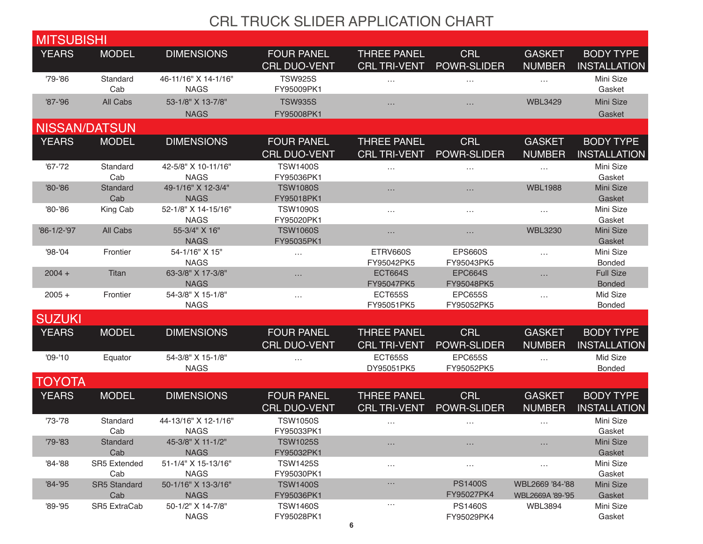| <b>MITSUBISHI</b>    |                            |                                     |                                          |                                           |                                  |                                     |                                         |
|----------------------|----------------------------|-------------------------------------|------------------------------------------|-------------------------------------------|----------------------------------|-------------------------------------|-----------------------------------------|
| <b>YEARS</b>         | <b>MODEL</b>               | <b>DIMENSIONS</b>                   | <b>FOUR PANEL</b>                        | <b>THREE PANEL</b>                        | <b>CRL</b>                       | <b>GASKET</b>                       | <b>BODY TYPE</b>                        |
|                      |                            |                                     | <b>CRL DUO-VENT</b>                      | <b>CRL TRI-VENT</b>                       | <b>POWR-SLIDER</b>               | <b>NUMBER</b>                       | <b>INSTALLATION</b>                     |
| '79-'86              | Standard<br>Cab            | 46-11/16" X 14-1/16"<br><b>NAGS</b> | <b>TSW925S</b><br>FY95009PK1             | $\cdots$                                  | $\cdots$                         | $\cdots$                            | Mini Size<br>Gasket                     |
| $'87 - '96$          | All Cabs                   | 53-1/8" X 13-7/8"                   | <b>TSW935S</b>                           | $\cdots$                                  | $\cdots$                         | <b>WBL3429</b>                      | Mini Size                               |
|                      |                            | <b>NAGS</b>                         | FY95008PK1                               |                                           |                                  |                                     | Gasket                                  |
| <b>NISSAN/DATSUN</b> |                            |                                     |                                          |                                           |                                  |                                     |                                         |
| <b>YEARS</b>         | <b>MODEL</b>               | <b>DIMENSIONS</b>                   | <b>FOUR PANEL</b><br><b>CRL DUO-VENT</b> | <b>THREE PANEL</b><br><b>CRL TRI-VENT</b> | <b>CRL</b><br>POWR-SLIDER        | <b>GASKET</b><br><b>NUMBER</b>      | <b>BODY TYPE</b><br><b>INSTALLATION</b> |
| $'67 - '72$          | Standard<br>Cab            | 42-5/8" X 10-11/16"<br><b>NAGS</b>  | <b>TSW1400S</b><br>FY95036PK1            | $\ldots$                                  | $\cdots$                         | $\cdots$                            | Mini Size<br>Gasket                     |
| '80-'86              | Standard<br>Cab            | 49-1/16" X 12-3/4"<br><b>NAGS</b>   | <b>TSW1080S</b><br>FY95018PK1            | $\cdots$                                  | $\cdots$                         | <b>WBL1988</b>                      | Mini Size<br>Gasket                     |
| '80-'86              | King Cab                   | 52-1/8" X 14-15/16"<br><b>NAGS</b>  | <b>TSW1090S</b><br>FY95020PK1            | $\ldots$                                  | $\cdots$                         | $\cdots$                            | Mini Size<br>Gasket                     |
| '86-1/2-'97          | All Cabs                   | 55-3/4" X 16"<br><b>NAGS</b>        | <b>TSW1060S</b><br>FY95035PK1            | $\cdots$                                  | $\cdots$                         | <b>WBL3230</b>                      | Mini Size<br>Gasket                     |
| '98-'04              | Frontier                   | 54-1/16" X 15"<br><b>NAGS</b>       | $\cdots$                                 | ETRV660S<br>FY95042PK5                    | <b>EPS660S</b><br>FY95043PK5     | $\cdots$                            | Mini Size<br><b>Bonded</b>              |
| $2004 +$             | Titan                      | 63-3/8" X 17-3/8"<br><b>NAGS</b>    | $\cdots$                                 | <b>ECT664S</b><br>FY95047PK5              | <b>EPC664S</b><br>FY95048PK5     | $\cdots$                            | <b>Full Size</b><br><b>Bonded</b>       |
| $2005 +$             | Frontier                   | 54-3/8" X 15-1/8"<br><b>NAGS</b>    | $\cdots$                                 | <b>ECT655S</b><br>FY95051PK5              | <b>EPC655S</b><br>FY95052PK5     | $\cdots$                            | Mid Size<br>Bonded                      |
| <b>SUZUKI</b>        |                            |                                     |                                          |                                           |                                  |                                     |                                         |
| <b>YEARS</b>         | <b>MODEL</b>               | <b>DIMENSIONS</b>                   | <b>FOUR PANEL</b><br><b>CRL DUO-VENT</b> | <b>THREE PANEL</b><br><b>CRL TRI-VENT</b> | <b>CRL</b><br><b>POWR-SLIDER</b> | <b>GASKET</b><br><b>NUMBER</b>      | <b>BODY TYPE</b><br><b>INSTALLATION</b> |
| $'09 - '10$          | Equator                    | 54-3/8" X 15-1/8"<br><b>NAGS</b>    | $\cdots$                                 | <b>ECT655S</b><br>DY95051PK5              | <b>EPC655S</b><br>FY95052PK5     | $\cdots$                            | Mid Size<br>Bonded                      |
| <b>TOYOTA</b>        |                            |                                     |                                          |                                           |                                  |                                     |                                         |
| <b>YEARS</b>         | <b>MODEL</b>               | <b>DIMENSIONS</b>                   | <b>FOUR PANEL</b><br><b>CRL DUO-VENT</b> | <b>THREE PANEL</b><br><b>CRL TRI-VENT</b> | <b>CRL</b><br><b>POWR-SLIDER</b> | <b>GASKET</b><br><b>NUMBER</b>      | <b>BODY TYPE</b><br><b>INSTALLATION</b> |
| $'73 - '78$          | Standard<br>Cab            | 44-13/16" X 12-1/16"<br><b>NAGS</b> | <b>TSW1050S</b><br>FY95033PK1            | $\cdots$                                  | $\cdots$                         | $\cdots$                            | Mini Size<br>Gasket                     |
| $'79 - '83$          | Standard<br>Cab            | 45-3/8" X 11-1/2"<br><b>NAGS</b>    | <b>TSW1025S</b><br>FY95032PK1            | $\cdots$                                  |                                  |                                     | Mini Size<br>Gasket                     |
| '84-'88              | <b>SR5 Extended</b><br>Cab | 51-1/4" X 15-13/16"<br><b>NAGS</b>  | <b>TSW1425S</b><br>FY95030PK1            | $\cdots$                                  | $\cdots$                         | $\cdots$                            | Mini Size<br>Gasket                     |
| $'84 - '95$          | <b>SR5 Standard</b><br>Cab | 50-1/16" X 13-3/16"<br><b>NAGS</b>  | <b>TSW1400S</b><br>FY95036PK1            | $\dots$                                   | <b>PS1400S</b><br>FY95027PK4     | WBL2669 '84-'88<br>WBL2669A '89-'95 | Mini Size<br>Gasket                     |
| $'89 - '95$          | SR5 ExtraCab               | 50-1/2" X 14-7/8"<br><b>NAGS</b>    | <b>TSW1460S</b><br>FY95028PK1            | $\ldots$                                  | <b>PS1460S</b><br>FY95029PK4     | <b>WBL3894</b>                      | Mini Size<br>Gasket                     |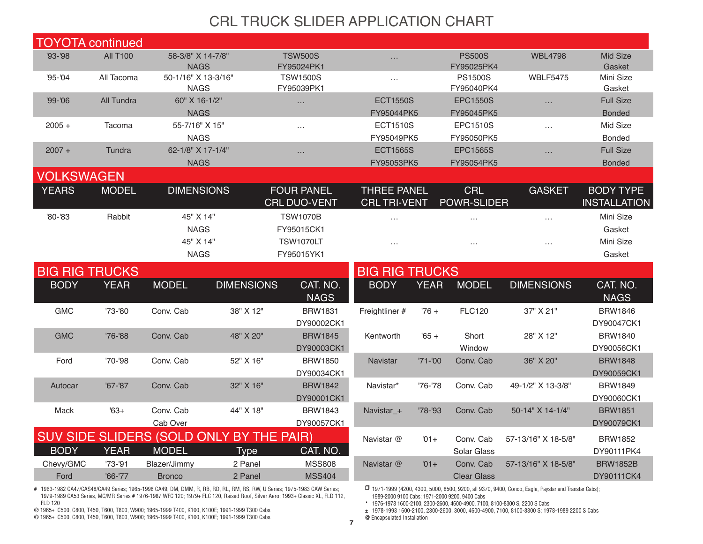| <b>TOYOTA</b> continued |                 |                                    |                                          |                               |                               |             |                               |                     |                                   |  |
|-------------------------|-----------------|------------------------------------|------------------------------------------|-------------------------------|-------------------------------|-------------|-------------------------------|---------------------|-----------------------------------|--|
| '93-'98                 | <b>All T100</b> | 58-3/8" X 14-7/8"<br><b>NAGS</b>   |                                          | <b>TSW500S</b><br>FY95024PK1  | $\cdots$                      |             | <b>PS500S</b><br>FY95025PK4   | <b>WBL4798</b>      | Mid Size<br>Gasket                |  |
| $95 - 04$               | All Tacoma      | 50-1/16" X 13-3/16"<br><b>NAGS</b> |                                          | <b>TSW1500S</b><br>FY95039PK1 | $\cdots$                      |             | <b>PS1500S</b><br>FY95040PK4  | <b>WBLF5475</b>     | Mini Size<br>Gasket               |  |
| '99-'06                 | All Tundra      | 60" X 16-1/2"<br><b>NAGS</b>       |                                          | $\ldots$                      | <b>ECT1550S</b><br>FY95044PK5 |             | <b>EPC1550S</b><br>FY95045PK5 | $\cdots$            | <b>Full Size</b><br><b>Bonded</b> |  |
| $2005 +$                | Tacoma          | 55-7/16" X 15"                     |                                          | $\cdots$                      | <b>ECT1510S</b>               |             | <b>EPC1510S</b>               | $\ldots$            | Mid Size                          |  |
|                         |                 | <b>NAGS</b>                        |                                          |                               | FY95049PK5                    |             | FY95050PK5                    |                     | <b>Bonded</b>                     |  |
| $2007 +$                | Tundra          | 62-1/8" X 17-1/4"                  |                                          | $\cdots$                      | <b>ECT1565S</b>               |             | <b>EPC1565S</b>               | $\cdots$            | <b>Full Size</b>                  |  |
|                         |                 | <b>NAGS</b>                        |                                          |                               | FY95053PK5                    |             | FY95054PK5                    |                     | <b>Bonded</b>                     |  |
| <b>VOLKSWAGEN</b>       |                 |                                    |                                          |                               |                               |             |                               |                     |                                   |  |
| <b>YEARS</b>            | <b>MODEL</b>    | <b>DIMENSIONS</b>                  |                                          | <b>FOUR PANEL</b>             | <b>THREE PANEL</b>            |             | <b>CRL</b>                    | <b>GASKET</b>       | <b>BODY TYPE</b>                  |  |
|                         |                 |                                    |                                          | <b>CRL DUO-VENT</b>           | <b>CRL TRI-VENT</b>           |             | <b>POWR-SLIDER</b>            |                     | <b>INSTALLATION</b>               |  |
| '80-'83                 | Rabbit          | 45" X 14"                          |                                          | <b>TSW1070B</b>               | $\ldots$                      |             | $\cdots$                      | $\cdots$            | Mini Size                         |  |
|                         |                 | <b>NAGS</b>                        |                                          | FY95015CK1                    |                               |             |                               |                     | Gasket                            |  |
|                         |                 | 45" X 14"                          |                                          | <b>TSW1070LT</b>              | $\cdots$                      |             | $\cdots$                      | $\cdots$            | Mini Size                         |  |
|                         |                 | <b>NAGS</b>                        |                                          | FY95015YK1                    |                               |             |                               |                     | Gasket                            |  |
| <b>BIG RIG TRUCKS</b>   |                 |                                    |                                          |                               | <b>BIG RIG TRUCKS</b>         |             |                               |                     |                                   |  |
| <b>BODY</b>             | <b>YEAR</b>     | <b>MODEL</b>                       | <b>DIMENSIONS</b>                        | CAT. NO.<br><b>NAGS</b>       | <b>BODY</b>                   | <b>YEAR</b> | <b>MODEL</b>                  | <b>DIMENSIONS</b>   | CAT. NO.<br><b>NAGS</b>           |  |
| <b>GMC</b>              | '73-'80         | Conv. Cab                          | 38" X 12"                                | <b>BRW1831</b><br>DY90002CK1  | Freightliner #                | $76 +$      | <b>FLC120</b>                 | 37" X 21"           | <b>BRW1846</b><br>DY90047CK1      |  |
| <b>GMC</b>              | '76-'88         | Conv. Cab                          | 48" X 20"                                | <b>BRW1845</b>                | Kentworth                     | $'65 +$     | Short                         | 28" X 12"           | <b>BRW1840</b>                    |  |
|                         |                 |                                    |                                          | DY90003CK1                    |                               |             | Window                        |                     | DY90056CK1                        |  |
| Ford                    | '70-'98         | Conv. Cab                          | 52" X 16"                                | <b>BRW1850</b>                | <b>Navistar</b>               | $'71 - '00$ | Conv. Cab                     | 36" X 20"           | <b>BRW1848</b>                    |  |
|                         |                 |                                    |                                          | DY90034CK1                    |                               |             |                               |                     | DY90059CK1                        |  |
| Autocar                 | $'67 - '87$     | Conv. Cab                          | 32" X 16"                                | <b>BRW1842</b>                | Navistar*                     | $'76 - '78$ | Conv. Cab                     | 49-1/2" X 13-3/8"   | <b>BRW1849</b>                    |  |
|                         |                 |                                    |                                          | DY90001CK1                    |                               |             |                               |                     | DY90060CK1                        |  |
| Mack                    | $163+$          | Conv. Cab                          | 44" X 18"                                | <b>BRW1843</b>                | Navistar_+                    | $'78 - '93$ | Conv. Cab                     | 50-14" X 14-1/4"    | <b>BRW1851</b>                    |  |
|                         |                 | Cab Over                           |                                          | DY90057CK1                    |                               |             |                               |                     | DY90079CK1                        |  |
|                         |                 |                                    | SUV SIDE SLIDERS (SOLD ONLY BY THE PAIR) |                               | Navistar @                    | $'01+$      | Conv. Cab                     | 57-13/16" X 18-5/8" | <b>BRW1852</b>                    |  |
| <b>BODY</b>             | <b>YEAR</b>     | <b>MODEL</b>                       | <b>Type</b>                              | CAT. NO.                      |                               |             | Solar Glass                   |                     | DY90111PK4                        |  |
| Chevy/GMC               | $'73 - '91$     | Blazer/Jimmy                       | 2 Panel                                  | <b>MSS808</b>                 | Navistar @                    | $'01+$      | Conv. Cab                     | 57-13/16" X 18-5/8" | <b>BRW1852B</b>                   |  |
| Ford                    | $'66 - '77$     | <b>Bronco</b>                      | 2 Panel                                  | <b>MSS404</b>                 |                               |             | <b>Clear Glass</b>            |                     | DY90111CK4                        |  |

**#** 1963-1982 CA47/CAS48/CA49 Series; 1965-1998 CA49, DM, DMM, R, RB, RD, RL, RM, RS, RW, U Series; 1975-1983 CAW Series; 1979-1989 CA53 Series, MC/MR Series **#** 1976-1987 WFC 120; 1979+ FLC 120, Raised Roof, Silver Aero; 1993+ Classic XL, FLD 112, FLD 120

**®** 1965+ C500, C800, T450, T600, T800, W900; 1965-1999 T400, K100, K100E; 1991-1999 T300 Cabs

**©** 1965+ C500, C800, T450, T600, T800, W900; 1965-1999 T400, K100, K100E; 1991-1999 T300 Cabs

❒ 1971-1999 (4200, 4300, 5000, 8500, 9200, all 9370, 9400, Conco, Eagle, Paystar and Transtar Cabs); 1989-2000 9100 Cabs; 1971-2000 9200, 9400 Cabs

**\*** 1976-1978 1600-2100, 2300-2600, 4600-4900, 7100, 8100-8300 S, 2200 S Cabs

**±** 1978-1993 1600-2100, 2300-2600, 3000, 4600-4900, 7100, 8100-8300 S; 1978-1989 2200 S Cabs

**@** Encapsulated Installation